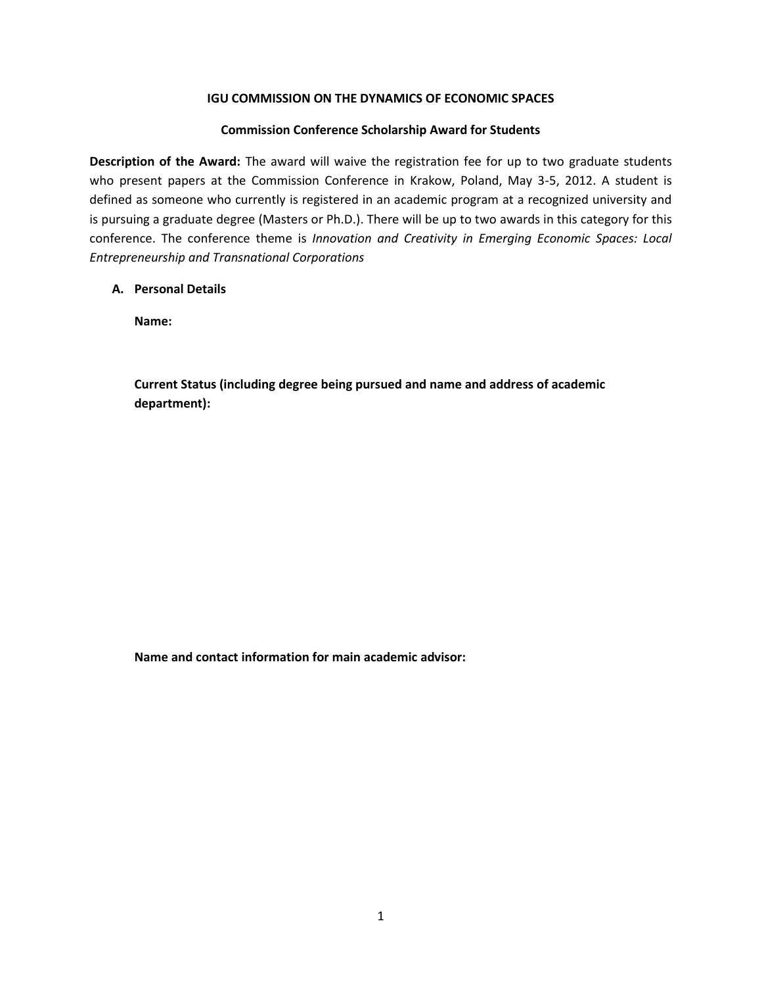## **IGU COMMISSION ON THE DYNAMICS OF ECONOMIC SPACES**

## **Commission Conference Scholarship Award for Students**

**Description of the Award:** The award will waive the registration fee for up to two graduate students who present papers at the Commission Conference in Krakow, Poland, May 3-5, 2012. A student is defined as someone who currently is registered in an academic program at a recognized university and is pursuing a graduate degree (Masters or Ph.D.). There will be up to two awards in this category for this conference. The conference theme is *Innovation and Creativity in Emerging Economic Spaces: Local Entrepreneurship and Transnational Corporations*

## **A. Personal Details**

**Name:**

**Current Status (including degree being pursued and name and address of academic department):**

**Name and contact information for main academic advisor:**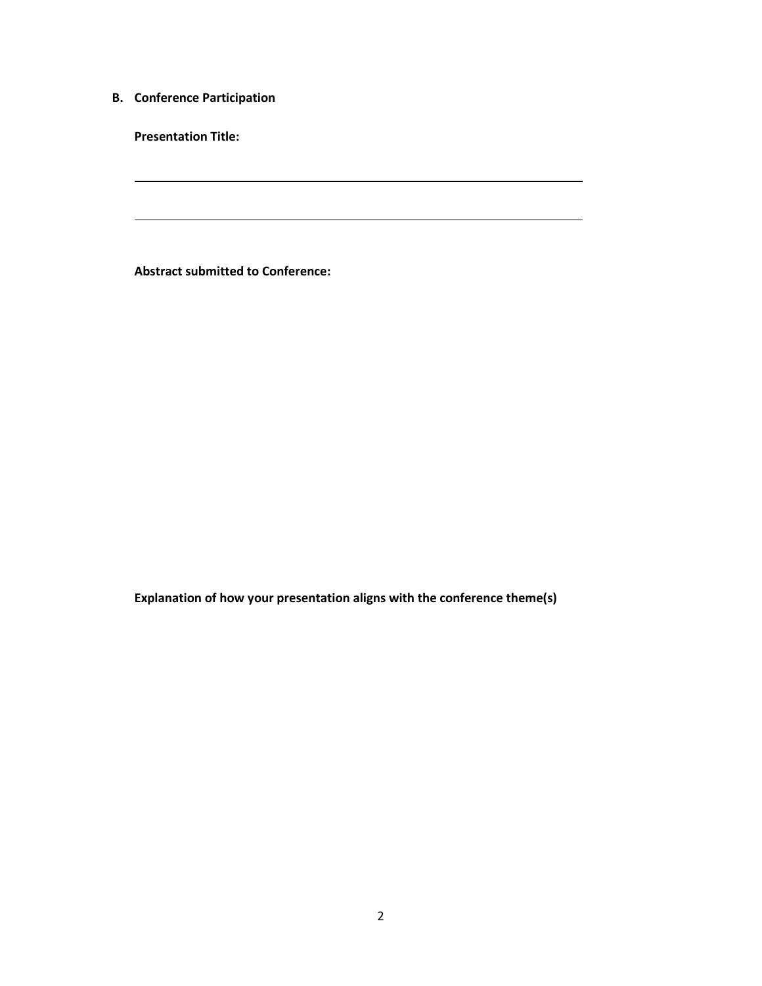**B. Conference Participation**

**Presentation Title:**

**Abstract submitted to Conference:**

**Explanation of how your presentation aligns with the conference theme(s)**